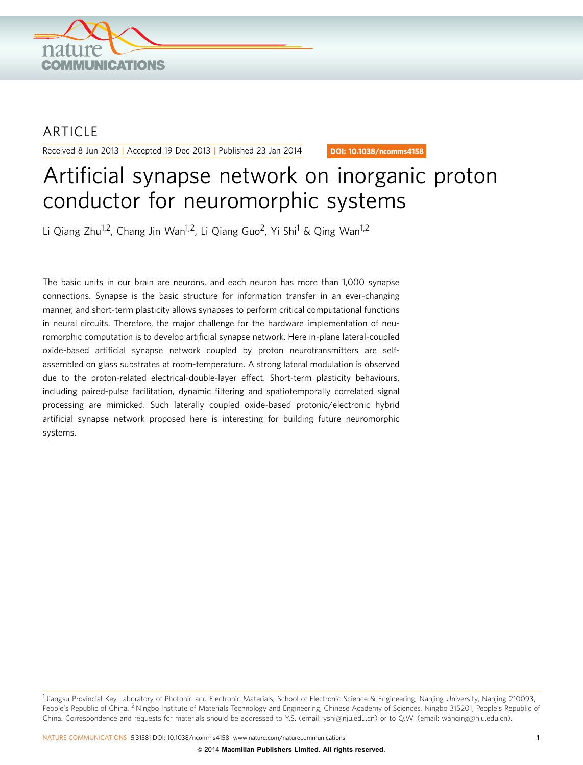

# **ARTICLE**

Received 8 Jun 2013 | Accepted 19 Dec 2013 | Published 23 Jan 2014

DOI: 10.1038/ncomms4158

# Artificial synapse network on inorganic proton conductor for neuromorphic systems

Li Qiang Zhu<sup>1,2</sup>, Chang Jin Wan<sup>1,2</sup>, Li Qiang Guo<sup>2</sup>, Yi Shi<sup>1</sup> & Qing Wan<sup>1,2</sup>

The basic units in our brain are neurons, and each neuron has more than 1,000 synapse connections. Synapse is the basic structure for information transfer in an ever-changing manner, and short-term plasticity allows synapses to perform critical computational functions in neural circuits. Therefore, the major challenge for the hardware implementation of neuromorphic computation is to develop artificial synapse network. Here in-plane lateral-coupled oxide-based artificial synapse network coupled by proton neurotransmitters are selfassembled on glass substrates at room-temperature. A strong lateral modulation is observed due to the proton-related electrical-double-layer effect. Short-term plasticity behaviours, including paired-pulse facilitation, dynamic filtering and spatiotemporally correlated signal processing are mimicked. Such laterally coupled oxide-based protonic/electronic hybrid artificial synapse network proposed here is interesting for building future neuromorphic systems.

<sup>&</sup>lt;sup>1</sup> Jiangsu Provincial Key Laboratory of Photonic and Electronic Materials, School of Electronic Science & Engineering, Nanjing University, Nanjing 210093, People's Republic of China. <sup>2</sup> Ningbo Institute of Materials Technology and Engineering, Chinese Academy of Sciences, Ningbo 315201, People's Republic of China. Correspondence and requests for materials should be addressed to Y.S. (email: [yshi@nju.edu.cn\)](mailto:yshi@nju.edu.cn) or to Q.W. (email: [wanqing@nju.edu.cn](mailto:wanqing@nju.edu.cn)).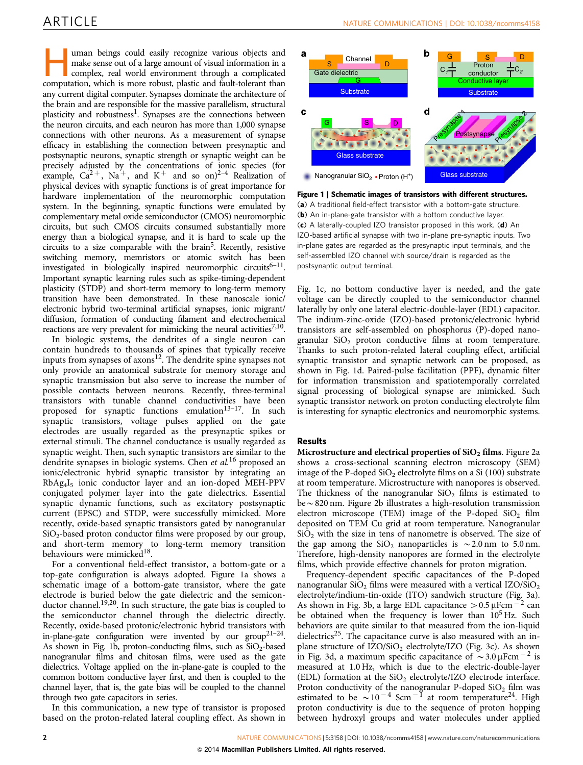uman beings could easily recognize various objects and make sense out of a large amount of visual information in a complex, real world environment through a complicated computation, which is more robust, plastic and fault-tolerant than any current digital computer. Synapses dominate the architecture of the brain and are responsible for the massive parallelism, structural plasticity and robustness<sup>[1](#page-6-0)</sup>. Synapses are the connections between the neuron circuits, and each neuron has more than 1,000 synapse connections with other neurons. As a measurement of synapse efficacy in establishing the connection between presynaptic and postsynaptic neurons, synaptic strength or synaptic weight can be precisely adjusted by the concentrations of ionic species (for example,  $Ca^{2+}$ , Na<sup>+</sup>, and K<sup>+</sup> and so on)<sup>2–4</sup> Realization of physical devices with synaptic functions is of great importance for hardware implementation of the neuromorphic computation system. In the beginning, synaptic functions were emulated by complementary metal oxide semiconductor (CMOS) neuromorphic circuits, but such CMOS circuits consumed substantially more energy than a biological synapse, and it is hard to scale up the circuits to a size comparable with the brain<sup>5</sup>. Recently, resistive switching memory, memristors or atomic switch has been investigated in biologically inspired neuromorphic circuits<sup>6–11</sup>. Important synaptic learning rules such as spike-timing-dependent plasticity (STDP) and short-term memory to long-term memory transition have been demonstrated. In these nanoscale ionic/ electronic hybrid two-terminal artificial synapses, ionic migrant/ diffusion, formation of conducting filament and electrochemical reactions are very prevalent for mimicking the neural activities<sup>7,10</sup>.

In biologic systems, the dendrites of a single neuron can contain hundreds to thousands of spines that typically receive inputs from synapses of  $axons<sup>12</sup>$  $axons<sup>12</sup>$  $axons<sup>12</sup>$ . The dendrite spine synapses not only provide an anatomical substrate for memory storage and synaptic transmission but also serve to increase the number of possible contacts between neurons. Recently, three-terminal transistors with tunable channel conductivities have been proposed for synaptic functions emulation<sup>13–17</sup>. In such synaptic transistors, voltage pulses applied on the gate electrodes are usually regarded as the presynaptic spikes or external stimuli. The channel conductance is usually regarded as synaptic weight. Then, such synaptic transistors are similar to the dendrite synapses in biologic systems. Chen et al.<sup>[16](#page-6-0)</sup> proposed an ionic/electronic hybrid synaptic transistor by integrating an RbAg4I5 ionic conductor layer and an ion-doped MEH-PPV conjugated polymer layer into the gate dielectrics. Essential synaptic dynamic functions, such as excitatory postsynaptic current (EPSC) and STDP, were successfully mimicked. More recently, oxide-based synaptic transistors gated by nanogranular  $SiO<sub>2</sub>$ -based proton conductor films were proposed by our group, and short-term memory to long-term memory transition behaviours were mimicked<sup>18</sup>.

For a conventional field-effect transistor, a bottom-gate or a top-gate configuration is always adopted. Figure 1a shows a schematic image of a bottom-gate transistor, where the gate electrode is buried below the gate dielectric and the semiconductor channel.<sup>19,20</sup>. In such structure, the gate bias is coupled to the semiconductor channel through the dielectric directly. Recently, oxide-based protonic/electronic hybrid transistors with in-plane-gate configuration were invented by our  $group^{21-24}$ . As shown in Fig. 1b, proton-conducting films, such as  $SiO<sub>2</sub>$ -based nanogranular films and chitosan films, were used as the gate dielectrics. Voltage applied on the in-plane-gate is coupled to the common bottom conductive layer first, and then is coupled to the channel layer, that is, the gate bias will be coupled to the channel through two gate capacitors in series.

In this communication, a new type of transistor is proposed based on the proton-related lateral coupling effect. As shown in



Figure 1 | Schematic images of transistors with different structures. (a) A traditional field-effect transistor with a bottom-gate structure. (b) An in-plane-gate transistor with a bottom conductive layer. (c) A laterally-coupled IZO transistor proposed in this work. (d) An IZO-based artificial synapse with two in-plane pre-synaptic inputs. Two in-plane gates are regarded as the presynaptic input terminals, and the self-assembled IZO channel with source/drain is regarded as the postsynaptic output terminal.

Fig. 1c, no bottom conductive layer is needed, and the gate voltage can be directly coupled to the semiconductor channel laterally by only one lateral electric-double-layer (EDL) capacitor. The indium-zinc-oxide (IZO)-based protonic/electronic hybrid transistors are self-assembled on phosphorus (P)-doped nanogranular  $SiO<sub>2</sub>$  proton conductive films at room temperature. Thanks to such proton-related lateral coupling effect, artificial synaptic transistor and synaptic network can be proposed, as shown in Fig. 1d. Paired-pulse facilitation (PPF), dynamic filter for information transmission and spatiotemporally correlated signal processing of biological synapse are mimicked. Such synaptic transistor network on proton conducting electrolyte film is interesting for synaptic electronics and neuromorphic systems.

# Results

Microstructure and electrical properties of  $SiO<sub>2</sub>$  films. [Figure 2a](#page-2-0) shows a cross-sectional scanning electron microscopy (SEM) image of the P-doped  $SiO<sub>2</sub>$  electrolyte films on a Si (100) substrate at room temperature. Microstructure with nanopores is observed. The thickness of the nanogranular  $SiO<sub>2</sub>$  films is estimated to  $be \sim 820$  nm. [Figure 2b](#page-2-0) illustrates a high-resolution transmission electron microscope (TEM) image of the P-doped  $SiO<sub>2</sub>$  film deposited on TEM Cu grid at room temperature. Nanogranular  $SiO<sub>2</sub>$  with the size in tens of nanometre is observed. The size of the gap among the  $SiO<sub>2</sub>$  nanoparticles is  $\sim$  2.0 nm to 5.0 nm. Therefore, high-density nanopores are formed in the electrolyte films, which provide effective channels for proton migration.

Frequency-dependent specific capacitances of the P-doped nanogranular  $SiO<sub>2</sub>$  films were measured with a vertical IZO/ $SiO<sub>2</sub>$ electrolyte/indium-tin-oxide (ITO) sandwich structure [\(Fig. 3a](#page-2-0)). As shown in [Fig. 3b](#page-2-0), a large EDL capacitance  $> 0.5 \mu$ Fcm<sup>-2</sup> can be obtained when the frequency is lower than  $10^5$  Hz. Such behaviors are quite similar to that measured from the ion-liquid dielectrics<sup>25</sup>. The capacitance curve is also measured with an inplane structure of  $IZO/SiO<sub>2</sub>$  electrolyte/IZO [\(Fig. 3c\)](#page-2-0). As shown in [Fig. 3d](#page-2-0), a maximum specific capacitance of  $\sim$  3.0  $\mu$ Fcm  $^{-2}$  is measured at 1.0 Hz, which is due to the electric-double-layer (EDL) formation at the  $SiO<sub>2</sub>$  electrolyte/IZO electrode interface. Proton conductivity of the nanogranular P-doped  $SiO<sub>2</sub>$  film was estimated to be  $\sim 10^{-4}$  Scm<sup>-1</sup> at room temperature<sup>[24](#page-6-0)</sup>. High proton conductivity is due to the sequence of proton hopping between hydroxyl groups and water molecules under applied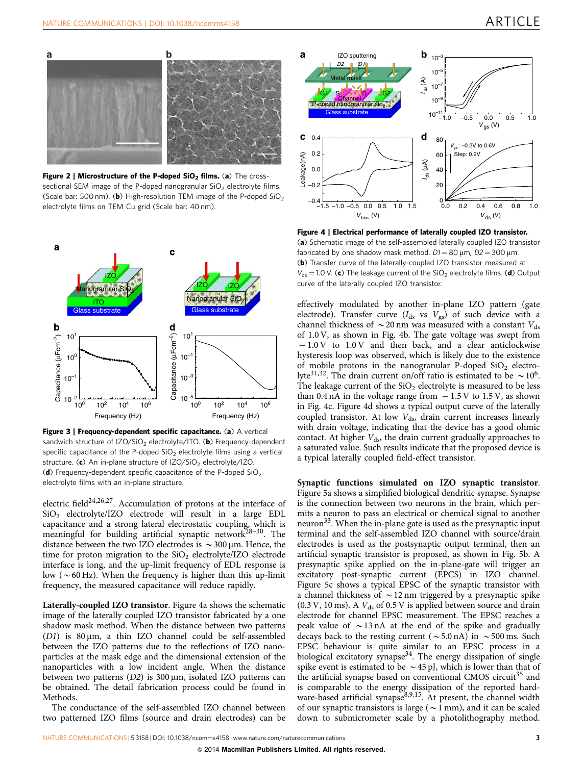<span id="page-2-0"></span>

Figure 2 | Microstructure of the P-doped  $SiO<sub>2</sub>$  films. (a) The crosssectional SEM image of the P-doped nanogranular  $SiO<sub>2</sub>$  electrolyte films. (Scale bar: 500 nm). (b) High-resolution TEM image of the P-doped  $SiO<sub>2</sub>$ electrolyte films on TEM Cu grid (Scale bar: 40 nm).



Figure 3 | Frequency-dependent specific capacitance. (a) A vertical sandwich structure of  $IZO/SiO<sub>2</sub>$  electrolyte/ITO. (b) Frequency-dependent specific capacitance of the P-doped  $SiO<sub>2</sub>$  electrolyte films using a vertical structure. (c) An in-plane structure of  $IZO/SiO<sub>2</sub>$  electrolyte/IZO. (d) Frequency-dependent specific capacitance of the P-doped  $SiO<sub>2</sub>$ electrolyte films with an in-plane structure.

electric field<sup>[24,26,27](#page-6-0)</sup>. Accumulation of protons at the interface of SiO2 electrolyte/IZO electrode will result in a large EDL capacitance and a strong lateral electrostatic coupling, which is meaningful for building artificial synaptic network<sup>28-30</sup>. The distance between the two IZO electrodes is  $\sim$  300 µm. Hence, the time for proton migration to the  $SiO<sub>2</sub>$  electrolyte/IZO electrode interface is long, and the up-limit frequency of EDL response is low ( $\sim$  60 Hz). When the frequency is higher than this up-limit frequency, the measured capacitance will reduce rapidly.

Laterally-coupled IZO transistor. Figure 4a shows the schematic image of the laterally coupled IZO transistor fabricated by a one shadow mask method. When the distance between two patterns ( $D1$ ) is  $80 \mu m$ , a thin IZO channel could be self-assembled between the IZO patterns due to the reflections of IZO nanoparticles at the mask edge and the dimensional extension of the nanoparticles with a low incident angle. When the distance between two patterns  $(D2)$  is 300  $\mu$ m, isolated IZO patterns can be obtained. The detail fabrication process could be found in Methods.

The conductance of the self-assembled IZO channel between two patterned IZO films (source and drain electrodes) can be



Figure 4 | Electrical performance of laterally coupled IZO transistor. (a) Schematic image of the self-assembled laterally coupled IZO transistor fabricated by one shadow mask method.  $D1 = 80 \,\mu\text{m}$ ,  $D2 = 300 \,\mu\text{m}$ . (b) Transfer curve of the laterally-coupled IZO transistor measured at  $V_{ds}$  = 1.0 V. (c) The leakage current of the SiO<sub>2</sub> electrolyte films. (d) Output curve of the laterally coupled IZO transistor.

effectively modulated by another in-plane IZO pattern (gate electrode). Transfer curve  $(I_{ds}$  vs  $V_{gs}$ ) of such device with a channel thickness of  $\sim$  20 nm was measured with a constant  $V_{ds}$ of 1.0 V, as shown in Fig. 4b. The gate voltage was swept from  $-1.0 \,$ V to  $1.0 \,$ V and then back, and a clear anticlockwise hysteresis loop was observed, which is likely due to the existence of mobile protons in the nanogranular P-doped  $SiO<sub>2</sub>$  electrolyte<sup>31,32</sup>. The drain current on/off ratio is estimated to be  $\sim 10^6$ . The leakage current of the  $SiO<sub>2</sub>$  electrolyte is measured to be less than 0.4 nA in the voltage range from  $-1.5V$  to 1.5 V, as shown in Fig. 4c. Figure 4d shows a typical output curve of the laterally coupled transistor. At low  $V_{ds}$ , drain current increases linearly with drain voltage, indicating that the device has a good ohmic contact. At higher  $V_{ds}$ , the drain current gradually approaches to a saturated value. Such results indicate that the proposed device is a typical laterally coupled field-effect transistor.

Synaptic functions simulated on IZO synaptic transistor. [Figure 5a](#page-3-0) shows a simplified biological dendritic synapse. Synapse is the connection between two neurons in the brain, which permits a neuron to pass an electrical or chemical signal to another neuron $33$ . When the in-plane gate is used as the presynaptic input terminal and the self-assembled IZO channel with source/drain electrodes is used as the postsynaptic output terminal, then an artificial synaptic transistor is proposed, as shown in [Fig. 5b.](#page-3-0) A presynaptic spike applied on the in-plane-gate will trigger an excitatory post-synaptic current (EPCS) in IZO channel. [Figure 5c](#page-3-0) shows a typical EPSC of the synaptic transistor with a channel thickness of  $\sim$  12 nm triggered by a presynaptic spike (0.3 V, 10 ms). A  $V_{ds}$  of 0.5 V is applied between source and drain electrode for channel EPSC measurement. The EPSC reaches a peak value of  $\sim$ 13 nA at the end of the spike and gradually decays back to the resting current ( $\sim$  5.0 nA) in  $\sim$  500 ms. Such EPSC behaviour is quite similar to an EPSC process in a biological excitatory synapse<sup>[34](#page-6-0)</sup>. The energy dissipation of single spike event is estimated to be  $\sim$  45 pJ, which is lower than that of the artificial synapse based on conventional CMOS circuit<sup>[35](#page-6-0)</sup> and is comparable to the energy dissipation of the reported hardware-based artificial synapse<sup>8,9,15</sup>. At present, the channel width of our synaptic transistors is large ( $\sim$ 1 mm), and it can be scaled down to submicrometer scale by a photolithography method.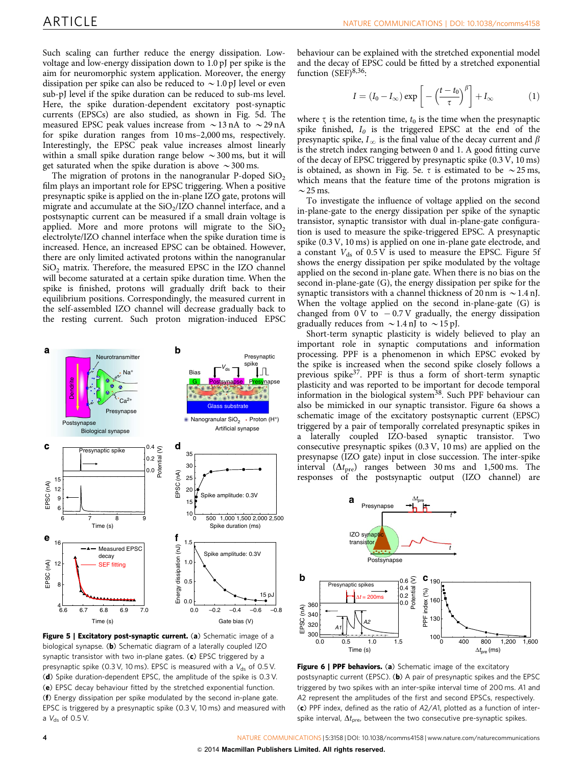<span id="page-3-0"></span>Such scaling can further reduce the energy dissipation. Lowvoltage and low-energy dissipation down to 1.0 pJ per spike is the aim for neuromorphic system application. Moreover, the energy dissipation per spike can also be reduced to  $\sim$  1.0 pJ level or even sub-pJ level if the spike duration can be reduced to sub-ms level. Here, the spike duration-dependent excitatory post-synaptic currents (EPSCs) are also studied, as shown in Fig. 5d. The measured EPSC peak values increase from  $\sim$  13 nA to  $\sim$  29 nA for spike duration ranges from 10 ms–2,000 ms, respectively. Interestingly, the EPSC peak value increases almost linearly within a small spike duration range below  $\sim$  300 ms, but it will get saturated when the spike duration is above  $\sim$  300 ms.

The migration of protons in the nanogranular P-doped  $SiO<sub>2</sub>$ film plays an important role for EPSC triggering. When a positive presynaptic spike is applied on the in-plane IZO gate, protons will migrate and accumulate at the  $SiO<sub>2</sub>/IZO$  channel interface, and a postsynaptic current can be measured if a small drain voltage is applied. More and more protons will migrate to the  $SiO<sub>2</sub>$ electrolyte/IZO channel interface when the spike duration time is increased. Hence, an increased EPSC can be obtained. However, there are only limited activated protons within the nanogranular  $SiO<sub>2</sub>$  matrix. Therefore, the measured EPSC in the IZO channel will become saturated at a certain spike duration time. When the spike is finished, protons will gradually drift back to their equilibrium positions. Correspondingly, the measured current in the self-assembled IZO channel will decrease gradually back to the resting current. Such proton migration-induced EPSC



Figure 5 | Excitatory post-synaptic current. (a) Schematic image of a biological synapse. (b) Schematic diagram of a laterally coupled IZO synaptic transistor with two in-plane gates. (c) EPSC triggered by a presynaptic spike (0.3 V, 10 ms). EPSC is measured with a  $V_{ds}$  of 0.5 V. (d) Spike duration-dependent EPSC, the amplitude of the spike is 0.3 V. (e) EPSC decay behaviour fitted by the stretched exponential function. (f) Energy dissipation per spike modulated by the second in-plane gate. EPSC is triggered by a presynaptic spike (0.3 V, 10 ms) and measured with a  $V_{ds}$  of 0.5 V.

behaviour can be explained with the stretched exponential model and the decay of EPSC could be fitted by a stretched exponential function  $(SEF)^{8,36}$  $(SEF)^{8,36}$  $(SEF)^{8,36}$ :

$$
I = (I_0 - I_\infty) \exp\left[-\left(\frac{t - t_0}{\tau}\right)^\beta\right] + I_\infty \tag{1}
$$

where  $\tau$  is the retention time,  $t_0$  is the time when the presynaptic villa fields spike finished,  $I_0$  is the triggered EPSC at the end of the presynaptic spike,  $I_{\infty}$  is the final value of the decay current and  $\beta$ is the stretch index ranging between 0 and 1. A good fitting curve of the decay of EPSC triggered by presynaptic spike (0.3 V, 10 ms) is obtained, as shown in Fig. 5e.  $\tau$  is estimated to be  $\sim$  25 ms, which means that the feature time of the protons migration is  $\sim$  25 ms.

To investigate the influence of voltage applied on the second in-plane-gate to the energy dissipation per spike of the synaptic transistor, synaptic transistor with dual in-plane-gate configuration is used to measure the spike-triggered EPSC. A presynaptic spike (0.3 V, 10 ms) is applied on one in-plane gate electrode, and a constant  $V_{ds}$  of 0.5 V is used to measure the EPSC. Figure 5f shows the energy dissipation per spike modulated by the voltage applied on the second in-plane gate. When there is no bias on the second in-plane-gate (G), the energy dissipation per spike for the synaptic transistors with a channel thickness of 20 nm is  $\sim$  1.4 nJ. When the voltage applied on the second in-plane-gate (G) is changed from  $0 \text{ V}$  to  $-0.7 \text{ V}$  gradually, the energy dissipation gradually reduces from  $\sim$  1.4 nJ to  $\sim$  15 pJ.

Short-term synaptic plasticity is widely believed to play an important role in synaptic computations and information processing. PPF is a phenomenon in which EPSC evoked by the spike is increased when the second spike closely follows a previous spike $37$ . PPF is thus a form of short-term synaptic plasticity and was reported to be important for decode temporal information in the biological system<sup>[38](#page-6-0)</sup>. Such PPF behaviour can also be mimicked in our synaptic transistor. Figure 6a shows a schematic image of the excitatory postsynaptic current (EPSC) triggered by a pair of temporally correlated presynaptic spikes in a laterally coupled IZO-based synaptic transistor. Two consecutive presynaptic spikes (0.3 V, 10 ms) are applied on the presynapse (IZO gate) input in close succession. The inter-spike interval  $(\Delta t_{pre})$  ranges between 30 ms and 1,500 ms. The responses of the postsynaptic output (IZO channel) are



Figure 6 | PPF behaviors. (a) Schematic image of the excitatory postsynaptic current (EPSC). (b) A pair of presynaptic spikes and the EPSC triggered by two spikes with an inter-spike interval time of 200 ms. A1 and A2 represent the amplitudes of the first and second EPSCs, respectively. (c) PPF index, defined as the ratio of  $A2/A1$ , plotted as a function of interspike interval,  $\Delta t_{pre}$ , between the two consecutive pre-synaptic spikes.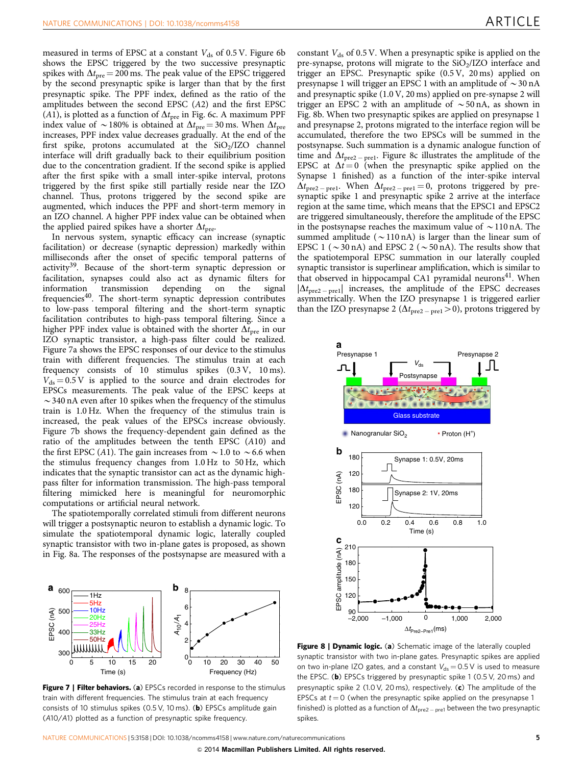measured in terms of EPSC at a constant  $V_{ds}$  of 0.5 V. [Figure 6b](#page-3-0) shows the EPSC triggered by the two successive presynaptic spikes with  $\Delta t_{\text{pre}} = 200$  ms. The peak value of the EPSC triggered by the second presynaptic spike is larger than that by the first presynaptic spike. The PPF index, defined as the ratio of the amplitudes between the second EPSC (A2) and the first EPSC (A1), is plotted as a function of  $\Delta t$ <sub>pre</sub> in [Fig. 6c.](#page-3-0) A maximum PPF index value of  $\sim$  180% is obtained at  $\Delta t_{\rm pre}$  = 30 ms. When  $\Delta t_{\rm pre}$ increases, PPF index value decreases gradually. At the end of the first spike, protons accumulated at the  $SiO<sub>2</sub>/IZO$  channel interface will drift gradually back to their equilibrium position due to the concentration gradient. If the second spike is applied after the first spike with a small inter-spike interval, protons triggered by the first spike still partially reside near the IZO channel. Thus, protons triggered by the second spike are augmented, which induces the PPF and short-term memory in an IZO channel. A higher PPF index value can be obtained when the applied paired spikes have a shorter  $\Delta t$ <sub>pre</sub>.

In nervous system, synaptic efficacy can increase (synaptic facilitation) or decrease (synaptic depression) markedly within milliseconds after the onset of specific temporal patterns of activity<sup>[39](#page-6-0)</sup>. Because of the short-term synaptic depression or facilitation, synapses could also act as dynamic filters for information transmission depending on the signal information transmission depending on the signal frequencies<sup>40</sup>. The short-term synaptic depression contributes to low-pass temporal filtering and the short-term synaptic facilitation contributes to high-pass temporal filtering. Since a higher PPF index value is obtained with the shorter  $\Delta t_{\text{pre}}$  in our IZO synaptic transistor, a high-pass filter could be realized. Figure 7a shows the EPSC responses of our device to the stimulus train with different frequencies. The stimulus train at each frequency consists of 10 stimulus spikes (0.3 V, 10 ms).  $V_{ds} = 0.5 \text{ V}$  is applied to the source and drain electrodes for EPSCs measurements. The peak value of the EPSC keeps at  $\sim$  340 nA even after 10 spikes when the frequency of the stimulus train is 1.0 Hz. When the frequency of the stimulus train is increased, the peak values of the EPSCs increase obviously. Figure 7b shows the frequency-dependent gain defined as the ratio of the amplitudes between the tenth EPSC (A10) and the first EPSC (A1). The gain increases from  $\sim$  1.0 to  $\sim$  6.6 when the stimulus frequency changes from 1.0 Hz to 50 Hz, which indicates that the synaptic transistor can act as the dynamic highpass filter for information transmission. The high-pass temporal filtering mimicked here is meaningful for neuromorphic computations or artificial neural network.

The spatiotemporally correlated stimuli from different neurons will trigger a postsynaptic neuron to establish a dynamic logic. To simulate the spatiotemporal dynamic logic, laterally coupled synaptic transistor with two in-plane gates is proposed, as shown in Fig. 8a. The responses of the postsynapse are measured with a



Figure 7 | Filter behaviors. (a) EPSCs recorded in response to the stimulus train with different frequencies. The stimulus train at each frequency consists of 10 stimulus spikes (0.5 V, 10 ms). (b) EPSCs amplitude gain (A10/A1) plotted as a function of presynaptic spike frequency.

constant  $V_{ds}$  of 0.5 V. When a presynaptic spike is applied on the pre-synapse, protons will migrate to the  $SiO<sub>2</sub>/IZO$  interface and trigger an EPSC. Presynaptic spike (0.5 V, 20 ms) applied on presynapse 1 will trigger an EPSC 1 with an amplitude of  $\sim$  30 nA and presynaptic spike (1.0 V, 20 ms) applied on pre-synapse 2 will trigger an EPSC 2 with an amplitude of  $\sim$  50 nA, as shown in Fig. 8b. When two presynaptic spikes are applied on presynapse 1 and presynapse 2, protons migrated to the interface region will be accumulated, therefore the two EPSCs will be summed in the postsynapse. Such summation is a dynamic analogue function of time and  $\Delta t_{\text{pre2}-\text{pre1}}$ . Figure 8c illustrates the amplitude of the EPSC at  $\Delta t = 0$  (when the presynaptic spike applied on the Synapse 1 finished) as a function of the inter-spike interval  $\Delta t_{\text{pre2}-\text{pre1}}$ . When  $\Delta t_{\text{pre2}-\text{pre1}} = 0$ , protons triggered by presynaptic spike 1 and presynaptic spike 2 arrive at the interface region at the same time, which means that the EPSC1 and EPSC2 are triggered simultaneously, therefore the amplitude of the EPSC in the postsynapse reaches the maximum value of  $\sim$  110 nA. The summed amplitude ( $\sim$ 110 nA) is larger than the linear sum of EPSC 1 ( $\sim$  30 nA) and EPSC 2 ( $\sim$  50 nA). The results show that the spatiotemporal EPSC summation in our laterally coupled synaptic transistor is superlinear amplification, which is similar to that observed in hippocampal CA1 pyramidal neurons<sup>41</sup>. When  $|\Delta t_{\text{pre2}-\text{pre1}}|$  increases, the amplitude of the EPSC decreases asymmetrically. When the IZO presynapse 1 is triggered earlier than the IZO presynapse 2 ( $\Delta t_{\text{pre2}-\text{pre1}}$  > 0), protons triggered by



Figure 8 | Dynamic logic. (a) Schematic image of the laterally coupled synaptic transistor with two in-plane gates. Presynaptic spikes are applied on two in-plane IZO gates, and a constant  $V_{ds} = 0.5 V$  is used to measure the EPSC. (b) EPSCs triggered by presynaptic spike 1 (0.5 V, 20 ms) and presynaptic spike 2 (1.0 V, 20 ms), respectively. (c) The amplitude of the EPSCs at  $t = 0$  (when the presynaptic spike applied on the presynapse 1 finished) is plotted as a function of  $\Delta t_{pre2-pre1}$  between the two presynaptic spikes.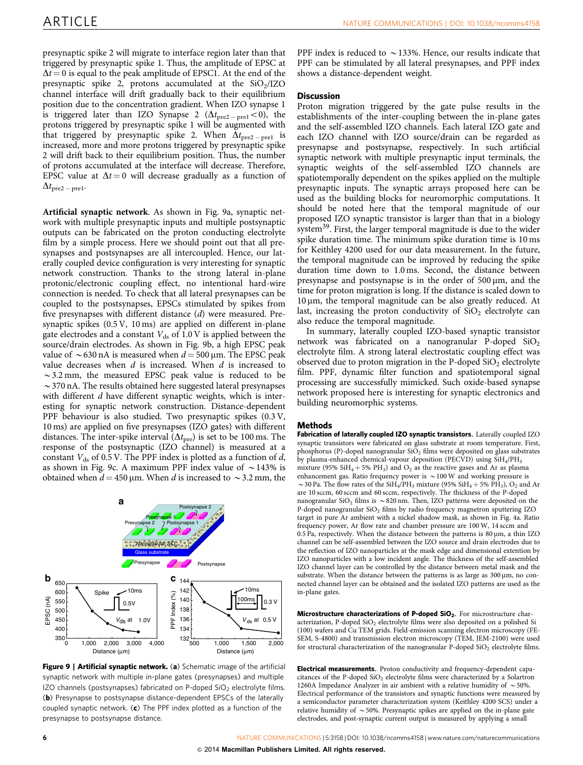presynaptic spike 2 will migrate to interface region later than that triggered by presynaptic spike 1. Thus, the amplitude of EPSC at  $\Delta t = 0$  is equal to the peak amplitude of EPSC1. At the end of the presynaptic spike 2, protons accumulated at the  $SiO<sub>2</sub>/IZO$ channel interface will drift gradually back to their equilibrium position due to the concentration gradient. When IZO synapse 1 is triggered later than IZO Synapse 2  $(\Delta t_{\rm pre2-prel} \! < \! 0)$ , the protons triggered by presynaptic spike 1 will be augmented with that triggered by presynaptic spike 2. When  $\Delta t_{\rm pre2-prel}$  is increased, more and more protons triggered by presynaptic spike 2 will drift back to their equilibrium position. Thus, the number of protons accumulated at the interface will decrease. Therefore, EPSC value at  $\Delta t = 0$  will decrease gradually as a function of  $\Delta t_{\rm pre2-pre1}$ .

Artificial synaptic network. As shown in Fig. 9a, synaptic network with multiple presynaptic inputs and multiple postsynaptic outputs can be fabricated on the proton conducting electrolyte film by a simple process. Here we should point out that all presynapses and postsynapses are all intercoupled. Hence, our laterally coupled device configuration is very interesting for synaptic network construction. Thanks to the strong lateral in-plane protonic/electronic coupling effect, no intentional hard-wire connection is needed. To check that all lateral presynapses can be coupled to the postsynapses, EPSCs stimulated by spikes from five presynapses with different distance (d) were measured. Presynaptic spikes (0.5 V, 10 ms) are applied on different in-plane gate electrodes and a constant  $V_{ds}$  of 1.0 V is applied between the source/drain electrodes. As shown in Fig. 9b, a high EPSC peak value of  $\sim$  630 nA is measured when  $d = 500$  um. The EPSC peak value decreases when  $d$  is increased. When  $d$  is increased to  $\sim$  3.2 mm, the measured EPSC peak value is reduced to be  $\sim$  370 nA. The results obtained here suggested lateral presynapses with different  $d$  have different synaptic weights, which is interesting for synaptic network construction. Distance-dependent PPF behaviour is also studied. Two presynaptic spikes (0.3 V, 10 ms) are applied on five presynapses (IZO gates) with different distances. The inter-spike interval  $(\Delta t_{pre})$  is set to be 100 ms. The response of the postsynaptic (IZO channel) is measured at a constant  $V_{ds}$  of 0.5 V. The PPF index is plotted as a function of d, as shown in Fig. 9c. A maximum PPF index value of  $\sim$  143% is obtained when  $d = 450 \,\mu$ m. When d is increased to  $\sim$  3.2 mm, the



Figure 9 | Artificial synaptic network. (a) Schematic image of the artificial synaptic network with multiple in-plane gates (presynapses) and multiple IZO channels (postsynapses) fabricated on P-doped  $SiO<sub>2</sub>$  electrolyte films. (b) Presynapse to postsynapse distance-dependent EPSCs of the laterally coupled synaptic network. (c) The PPF index plotted as a function of the presynapse to postsynapse distance.

PPF index is reduced to  $\sim$  133%. Hence, our results indicate that PPF can be stimulated by all lateral presynapses, and PPF index shows a distance-dependent weight.

### **Discussion**

Proton migration triggered by the gate pulse results in the establishments of the inter-coupling between the in-plane gates and the self-assembled IZO channels. Each lateral IZO gate and each IZO channel with IZO source/drain can be regarded as presynapse and postsynapse, respectively. In such artificial synaptic network with multiple presynaptic input terminals, the synaptic weights of the self-assembled IZO channels are spatiotemporally dependent on the spikes applied on the multiple presynaptic inputs. The synaptic arrays proposed here can be used as the building blocks for neuromorphic computations. It should be noted here that the temporal magnitude of our proposed IZO synaptic transistor is larger than that in a biology system[39.](#page-6-0) First, the larger temporal magnitude is due to the wider spike duration time. The minimum spike duration time is 10 ms for Keithley 4200 used for our data measurement. In the future, the temporal magnitude can be improved by reducing the spike duration time down to 1.0 ms. Second, the distance between presynapse and postsynapse is in the order of  $500 \mu m$ , and the time for proton migration is long. If the distance is scaled down to  $10 \mu m$ , the temporal magnitude can be also greatly reduced. At last, increasing the proton conductivity of  $SiO<sub>2</sub>$  electrolyte can also reduce the temporal magnitude.

In summary, laterally coupled IZO-based synaptic transistor network was fabricated on a nanogranular P-doped  $SiO<sub>2</sub>$ electrolyte film. A strong lateral electrostatic coupling effect was observed due to proton migration in the P-doped  $SiO<sub>2</sub>$  electrolyte film. PPF, dynamic filter function and spatiotemporal signal processing are successfully mimicked. Such oxide-based synapse network proposed here is interesting for synaptic electronics and building neuromorphic systems.

#### Methods

Fabrication of laterally coupled IZO synaptic transistors. Laterally coupled IZO synaptic transistors were fabricated on glass substrate at room temperature. First, phosphorus (P)-doped nanogranular  $SiO<sub>2</sub>$  films were deposited on glass substrates by plasma-enhanced chemical-vapour deposition (PECVD) using SiH4/PH3 mixture (95%  $SH_4 + 5% PH_3$ ) and  $O_2$  as the reactive gases and Ar as plasma enhancement gas. Ratio frequency power is  $\sim$  100 W and working pressure is  $\sim$  30 Pa. The flow rates of the SiH<sub>4</sub>/PH<sub>3</sub> mixture (95% SiH<sub>4</sub> + 5% PH<sub>3</sub>), O<sub>2</sub> and Ar are 10 sccm, 60 sccm and 60 sccm, respectively. The thickness of the P-doped nanogranular SiO<sub>2</sub> films is  $\sim$  820 nm. Then, IZO patterns were deposited on the P-doped nanogranular SiO<sub>2</sub> films by radio frequency magnetron sputtering IZO target in pure Ar ambient with a nickel shadow mask, as shown in [Fig. 4a](#page-2-0). Ratio frequency power, Ar flow rate and chamber pressure are 100 W, 14 sccm and 0.5 Pa, respectively. When the distance between the patterns is  $80 \,\mu m$ , a thin IZO channel can be self-assembled between the IZO source and drain electrodes due to the reflection of IZO nanoparticles at the mask edge and dimensional extention by IZO nanoparticles with a low incident angle. The thickness of the self-assembled IZO channel layer can be controlled by the distance between metal mask and the substrate. When the distance between the patterns is as large as  $300 \,\mu m$ , no connected channel layer can be obtained and the isolated IZO patterns are used as the in-plane gates.

Microstructure characterizations of P-doped SiO<sub>2</sub>. For microstructure characterization, P-doped  $SiO<sub>2</sub>$  electrolyte films were also deposited on a polished Si (100) wafers and Cu TEM grids. Field-emission scanning electron microscopy (FE-SEM, S-4800) and transmission electron microscopy (TEM, JEM-2100) were used for structural characterization of the nanogranular P-doped  $SiO<sub>2</sub>$  electrolyte films.

Electrical measurements. Proton conductivity and frequency-dependent capacitances of the P-doped SiO<sub>2</sub> electrolyte films were characterized by a Solartron 1260A Impedance Analyzer in air ambient with a relative humidity of  $\sim$  50%. Electrical performance of the transistors and synaptic functions were measured by a semiconductor parameter characterization system (Keithley 4200 SCS) under a relative humidity of  $\sim$  50%. Presynaptic spikes are applied on the in-plane gate electrodes, and post-synaptic current output is measured by applying a small